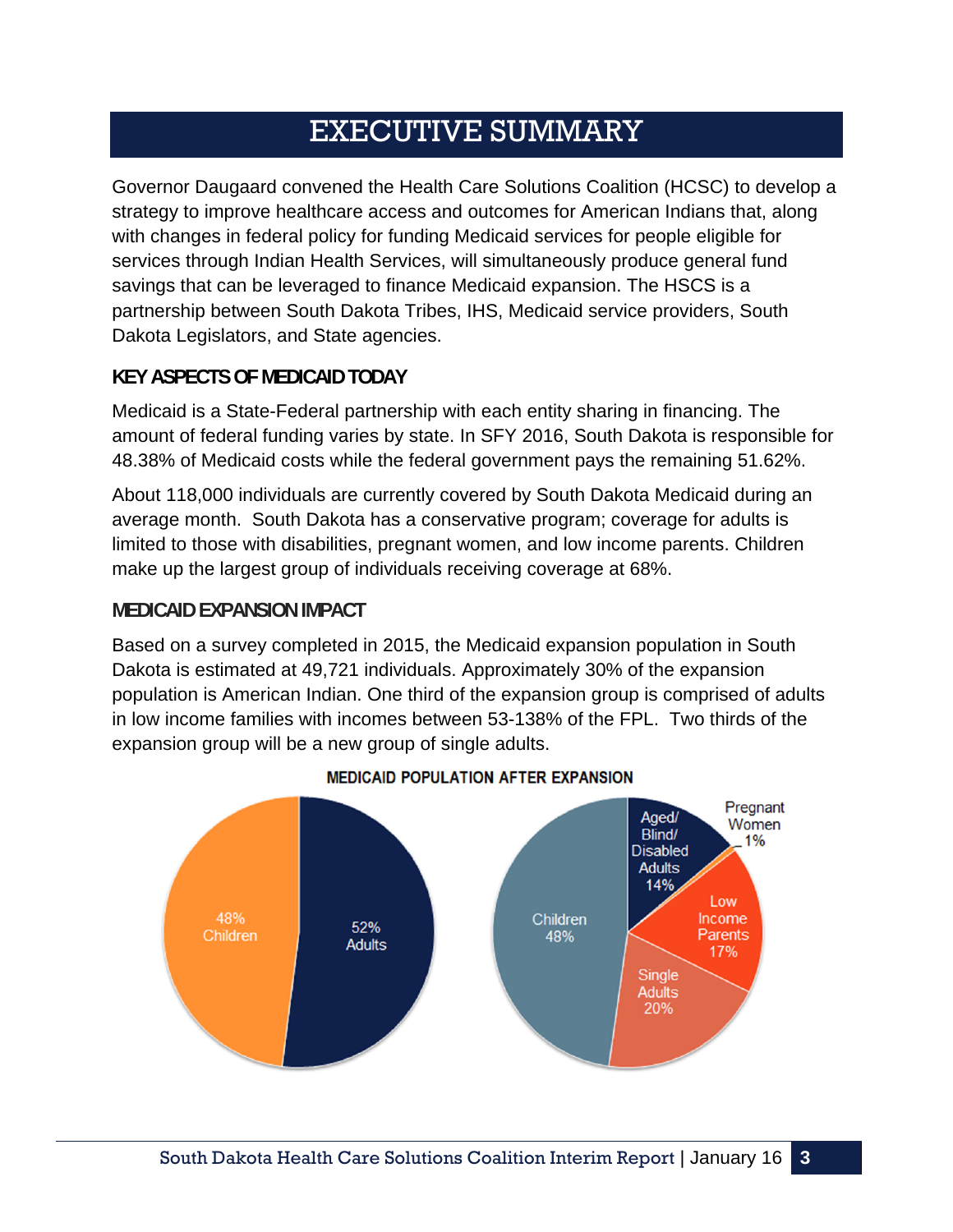# EXECUTIVE SUMMARY

Governor Daugaard convened the Health Care Solutions Coalition (HCSC) to develop a strategy to improve healthcare access and outcomes for American Indians that, along with changes in federal policy for funding Medicaid services for people eligible for services through Indian Health Services, will simultaneously produce general fund savings that can be leveraged to finance Medicaid expansion. The HSCS is a partnership between South Dakota Tribes, IHS, Medicaid service providers, South Dakota Legislators, and State agencies.

#### **KEY ASPECTS OF MEDICAID TODAY**

Medicaid is a State-Federal partnership with each entity sharing in financing. The amount of federal funding varies by state. In SFY 2016, South Dakota is responsible for 48.38% of Medicaid costs while the federal government pays the remaining 51.62%.

About 118,000 individuals are currently covered by South Dakota Medicaid during an average month. South Dakota has a conservative program; coverage for adults is limited to those with disabilities, pregnant women, and low income parents. Children make up the largest group of individuals receiving coverage at 68%.

#### **MEDICAID EXPANSION IMPACT**

Based on a survey completed in 2015, the Medicaid expansion population in South Dakota is estimated at 49,721 individuals. Approximately 30% of the expansion population is American Indian. One third of the expansion group is comprised of adults in low income families with incomes between 53-138% of the FPL. Two thirds of the expansion group will be a new group of single adults.



#### **MEDICAID POPULATION AFTER EXPANSION**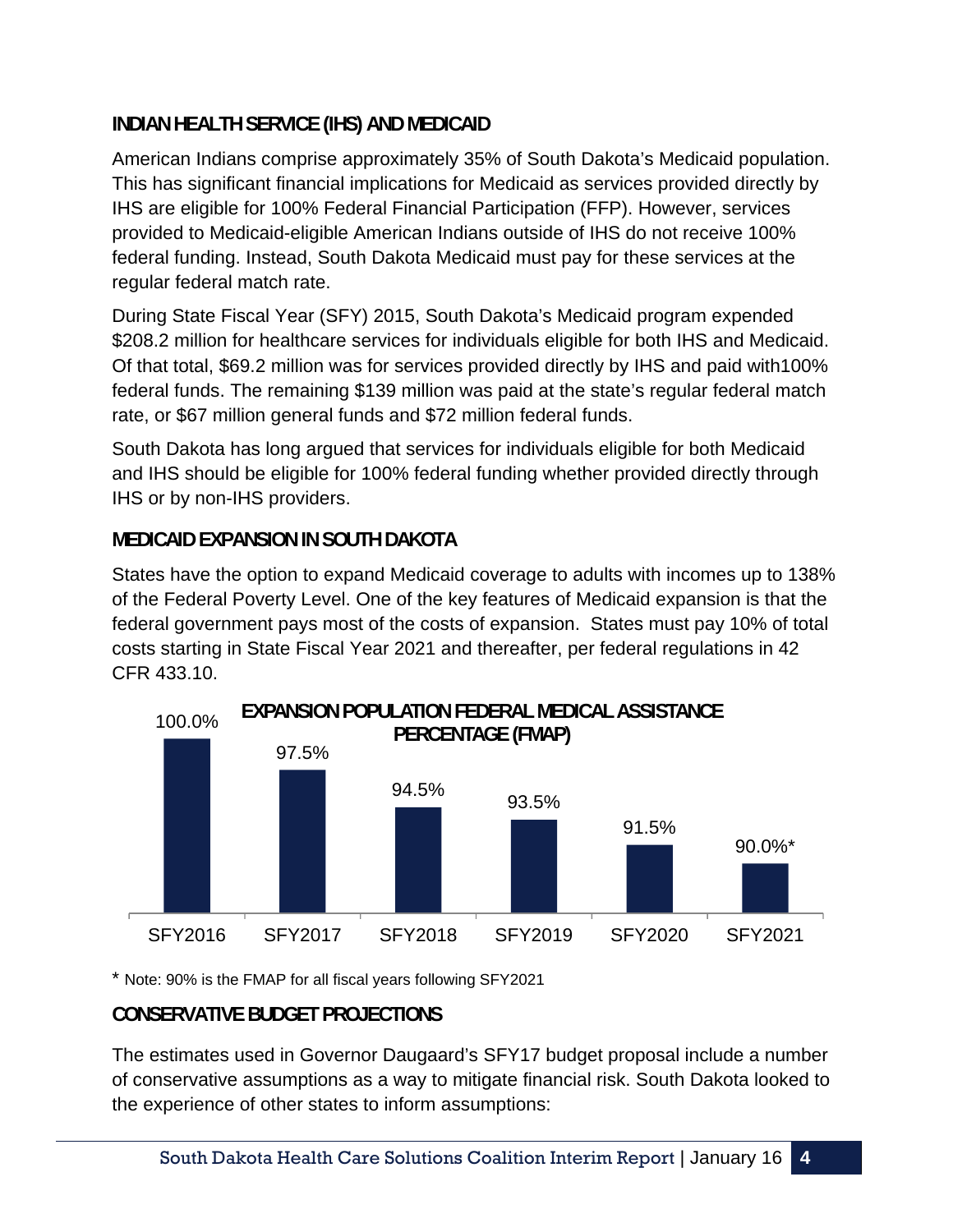### **INDIAN HEALTH SERVICE (IHS) AND MEDICAID**

American Indians comprise approximately 35% of South Dakota's Medicaid population. This has significant financial implications for Medicaid as services provided directly by IHS are eligible for 100% Federal Financial Participation (FFP). However, services provided to Medicaid-eligible American Indians outside of IHS do not receive 100% federal funding. Instead, South Dakota Medicaid must pay for these services at the regular federal match rate.

During State Fiscal Year (SFY) 2015, South Dakota's Medicaid program expended \$208.2 million for healthcare services for individuals eligible for both IHS and Medicaid. Of that total, \$69.2 million was for services provided directly by IHS and paid with100% federal funds. The remaining \$139 million was paid at the state's regular federal match rate, or \$67 million general funds and \$72 million federal funds.

South Dakota has long argued that services for individuals eligible for both Medicaid and IHS should be eligible for 100% federal funding whether provided directly through IHS or by non-IHS providers.

#### **MEDICAID EXPANSION IN SOUTH DAKOTA**

States have the option to expand Medicaid coverage to adults with incomes up to 138% of the Federal Poverty Level. One of the key features of Medicaid expansion is that the federal government pays most of the costs of expansion. States must pay 10% of total costs starting in State Fiscal Year 2021 and thereafter, per federal regulations in 42 CFR 433.10.



\* Note: 90% is the FMAP for all fiscal years following SFY2021

# **CONSERVATIVE BUDGET PROJECTIONS**

The estimates used in Governor Daugaard's SFY17 budget proposal include a number of conservative assumptions as a way to mitigate financial risk. South Dakota looked to the experience of other states to inform assumptions: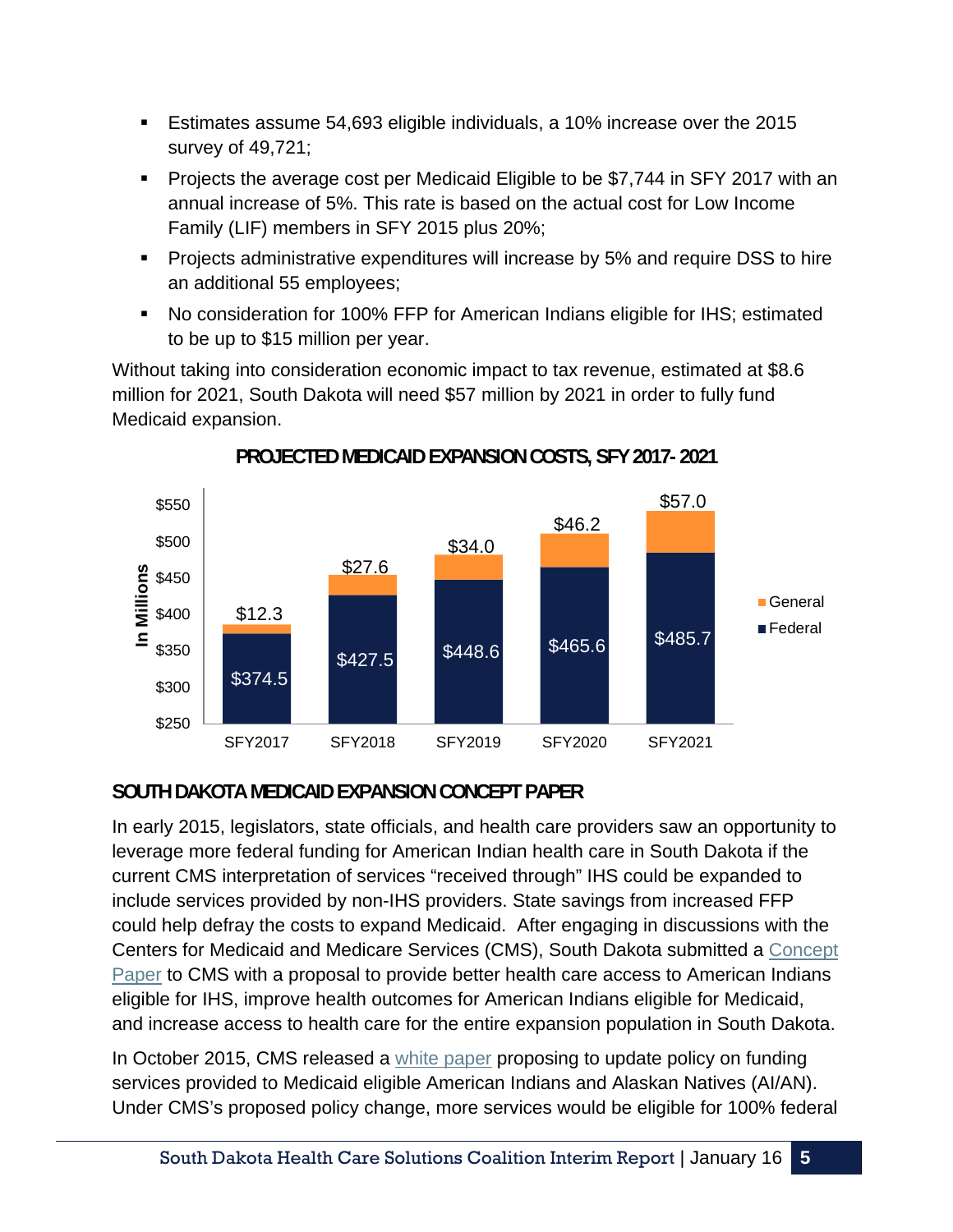- Estimates assume 54,693 eligible individuals, a 10% increase over the 2015 survey of 49,721;
- Projects the average cost per Medicaid Eligible to be \$7,744 in SFY 2017 with an annual increase of 5%. This rate is based on the actual cost for Low Income Family (LIF) members in SFY 2015 plus 20%;
- **Projects administrative expenditures will increase by 5% and require DSS to hire** an additional 55 employees;
- No consideration for 100% FFP for American Indians eligible for IHS; estimated to be up to \$15 million per year.

Without taking into consideration economic impact to tax revenue, estimated at \$8.6 million for 2021, South Dakota will need \$57 million by 2021 in order to fully fund Medicaid expansion.



# **PROJECTED MEDICAID EXPANSION COSTS, SFY 2017- 2021**

# **SOUTH DAKOTA MEDICAID EXPANSION CONCEPT PAPER**

In early 2015, legislators, state officials, and health care providers saw an opportunity to leverage more federal funding for American Indian health care in South Dakota if the current CMS interpretation of services "received through" IHS could be expanded to include services provided by non-IHS providers. State savings from increased FFP could help defray the costs to expand Medicaid. After engaging in discussions with the Centers for Medicaid and Medicare Services (CMS), South Dakota submitted a Concept Paper to CMS with a proposal to provide better health care access to American Indians eligible for IHS, improve health outcomes for American Indians eligible for Medicaid, and increase access to health care for the entire expansion population in South Dakota.

In October 2015, CMS released a white paper proposing to update policy on funding services provided to Medicaid eligible American Indians and Alaskan Natives (AI/AN). Under CMS's proposed policy change, more services would be eligible for 100% federal